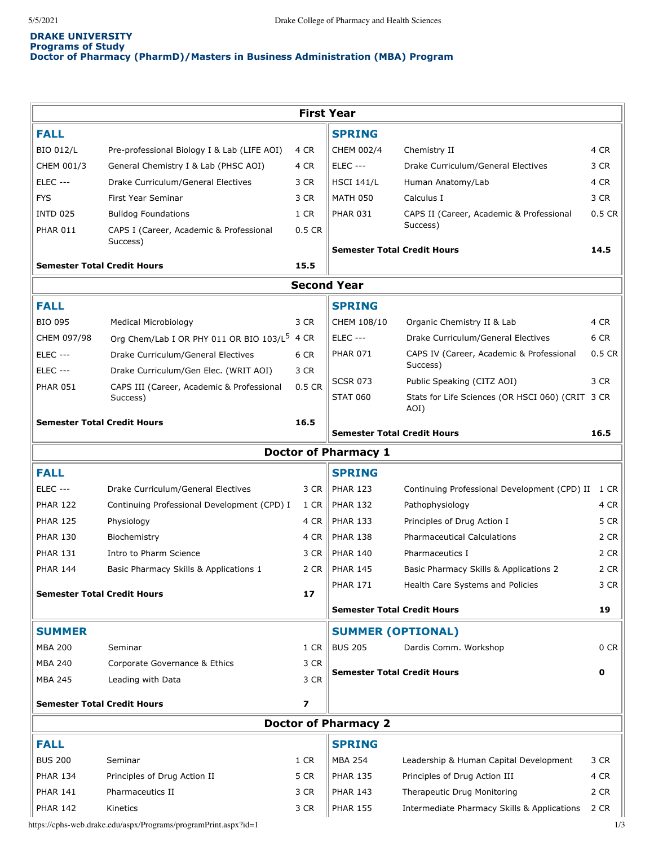# **DRAKE UNIVERSITY Programs of Study Doctor of Pharmacy (PharmD)/Masters in Business Administration (MBA) Program**

|                                            |                                                          |          | <b>First Year</b>                  |                                                          |              |
|--------------------------------------------|----------------------------------------------------------|----------|------------------------------------|----------------------------------------------------------|--------------|
| <b>FALL</b>                                |                                                          |          | <b>SPRING</b>                      |                                                          |              |
| <b>BIO 012/L</b>                           | Pre-professional Biology I & Lab (LIFE AOI)              | 4 CR     | CHEM 002/4                         | Chemistry II                                             | 4 CR         |
| CHEM 001/3                                 | General Chemistry I & Lab (PHSC AOI)                     | 4 CR     | <b>ELEC ---</b>                    | Drake Curriculum/General Electives                       | 3 CR         |
| <b>ELEC ---</b>                            | Drake Curriculum/General Electives                       | 3 CR     | <b>HSCI 141/L</b>                  | Human Anatomy/Lab                                        | 4 CR         |
| <b>FYS</b>                                 | First Year Seminar                                       | 3 CR     | <b>MATH 050</b>                    | Calculus I                                               | 3 CR         |
| <b>INTD 025</b>                            | <b>Bulldog Foundations</b>                               | 1 CR     | <b>PHAR 031</b>                    | CAPS II (Career, Academic & Professional                 | $0.5$ CR     |
| <b>PHAR 011</b>                            | CAPS I (Career, Academic & Professional                  | $0.5$ CR |                                    | Success)                                                 |              |
| Success)                                   |                                                          |          | <b>Semester Total Credit Hours</b> |                                                          | 14.5         |
| <b>Semester Total Credit Hours</b><br>15.5 |                                                          |          |                                    |                                                          |              |
|                                            |                                                          |          | <b>Second Year</b>                 |                                                          |              |
| <b>FALL</b>                                |                                                          |          | <b>SPRING</b>                      |                                                          |              |
| <b>BIO 095</b>                             | <b>Medical Microbiology</b>                              | 3 CR     | CHEM 108/10                        | Organic Chemistry II & Lab                               | 4 CR         |
| CHEM 097/98                                | Org Chem/Lab I OR PHY 011 OR BIO 103/L <sup>5</sup> 4 CR |          | <b>ELEC ---</b>                    | Drake Curriculum/General Electives                       | 6 CR         |
| <b>ELEC ---</b>                            | Drake Curriculum/General Electives                       | 6 CR     | <b>PHAR 071</b>                    | CAPS IV (Career, Academic & Professional                 | $0.5$ CR     |
| <b>ELEC ---</b>                            | Drake Curriculum/Gen Elec. (WRIT AOI)                    | 3 CR     |                                    | Success)                                                 |              |
| <b>PHAR 051</b>                            | CAPS III (Career, Academic & Professional                | 0.5 CR   | <b>SCSR 073</b>                    | Public Speaking (CITZ AOI)                               | 3 CR         |
|                                            | Success)                                                 |          | <b>STAT 060</b>                    | Stats for Life Sciences (OR HSCI 060) (CRIT 3 CR<br>AOI) |              |
|                                            | <b>Semester Total Credit Hours</b>                       | 16.5     | <b>Semester Total Credit Hours</b> |                                                          | 16.5         |
|                                            |                                                          |          | <b>Doctor of Pharmacy 1</b>        |                                                          |              |
| <b>FALL</b>                                |                                                          |          | <b>SPRING</b>                      |                                                          |              |
| <b>ELEC ---</b>                            | Drake Curriculum/General Electives                       | 3 CR     | <b>PHAR 123</b>                    | Continuing Professional Development (CPD) II             |              |
| <b>PHAR 122</b>                            | Continuing Professional Development (CPD) I              | 1 CR     | <b>PHAR 132</b>                    | Pathophysiology                                          | 1 CR<br>4 CR |
| <b>PHAR 125</b>                            | Physiology                                               | 4 CR     | <b>PHAR 133</b>                    | Principles of Drug Action I                              | 5 CR         |
| <b>PHAR 130</b>                            | Biochemistry                                             | 4 CR     | <b>PHAR 138</b>                    | <b>Pharmaceutical Calculations</b>                       | 2 CR         |
| <b>PHAR 131</b>                            | Intro to Pharm Science                                   | 3 CR     | <b>PHAR 140</b>                    | Pharmaceutics I                                          | 2 CR         |
| <b>PHAR 144</b>                            |                                                          | 2 CR     | <b>PHAR 145</b>                    |                                                          | 2 CR         |
|                                            | Basic Pharmacy Skills & Applications 1                   |          | <b>PHAR 171</b>                    | Basic Pharmacy Skills & Applications 2                   | 3 CR         |
|                                            | <b>Semester Total Credit Hours</b>                       | 17       |                                    | Health Care Systems and Policies                         |              |
|                                            |                                                          |          | Semester Total Credit Hours        |                                                          | 19           |
| <b>SUMMER</b>                              |                                                          |          | <b>SUMMER (OPTIONAL)</b>           |                                                          |              |
| <b>MBA 200</b>                             | Seminar                                                  | 1 CR     | <b>BUS 205</b>                     | Dardis Comm. Workshop                                    | 0 CR         |
| <b>MBA 240</b>                             | Corporate Governance & Ethics                            | 3 CR     |                                    |                                                          |              |
| MBA 245                                    | Leading with Data                                        | 3 CR     | <b>Semester Total Credit Hours</b> |                                                          | 0            |
|                                            | <b>Semester Total Credit Hours</b>                       | 7        |                                    |                                                          |              |
|                                            |                                                          |          | <b>Doctor of Pharmacy 2</b>        |                                                          |              |
| <b>FALL</b>                                |                                                          |          | <b>SPRING</b>                      |                                                          |              |
| <b>BUS 200</b>                             | Seminar                                                  | 1 CR     | <b>MBA 254</b>                     | Leadership & Human Capital Development                   | 3 CR         |
|                                            |                                                          |          |                                    |                                                          |              |
| <b>PHAR 134</b>                            | Principles of Drug Action II                             | 5 CR     | <b>PHAR 135</b>                    | Principles of Drug Action III                            | 4 CR         |
| <b>PHAR 141</b>                            | Pharmaceutics II                                         | 3 CR     | <b>PHAR 143</b>                    | Therapeutic Drug Monitoring                              | 2 CR         |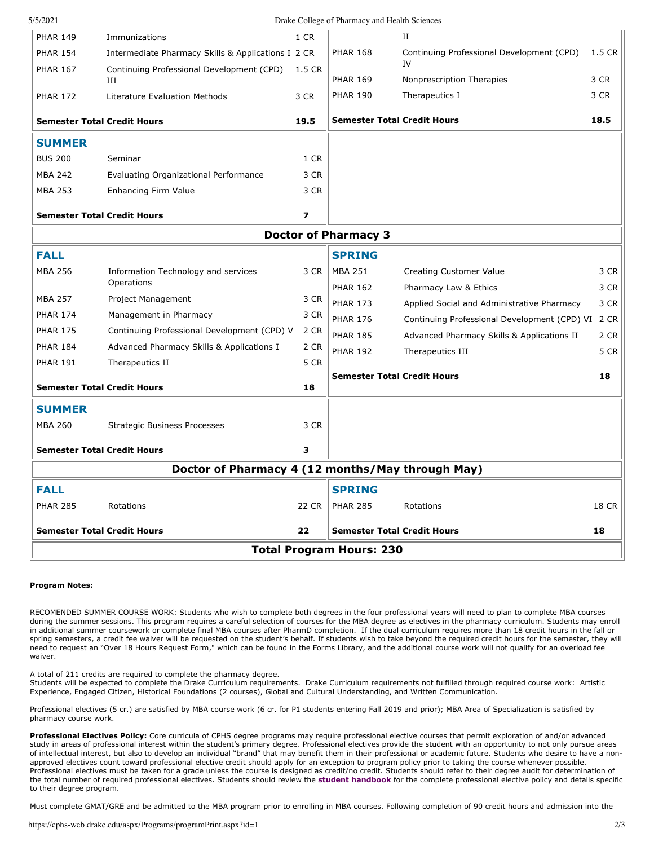| 5/5/2021                                         |                                                    |                                    | Drake College of Pharmacy and Health Sciences |                                              |        |  |  |  |
|--------------------------------------------------|----------------------------------------------------|------------------------------------|-----------------------------------------------|----------------------------------------------|--------|--|--|--|
| <b>PHAR 149</b>                                  | Immunizations                                      | 1 CR                               |                                               | II                                           |        |  |  |  |
| <b>PHAR 154</b>                                  | Intermediate Pharmacy Skills & Applications I 2 CR |                                    | <b>PHAR 168</b>                               | Continuing Professional Development (CPD)    | 1.5 CR |  |  |  |
| <b>PHAR 167</b>                                  | Continuing Professional Development (CPD)<br>III   | 1.5 CR                             | <b>PHAR 169</b>                               | IV<br>Nonprescription Therapies              | 3 CR   |  |  |  |
| <b>PHAR 172</b>                                  | Literature Evaluation Methods                      | 3 CR                               | <b>PHAR 190</b>                               | Therapeutics I                               | 3 CR   |  |  |  |
|                                                  |                                                    |                                    |                                               |                                              |        |  |  |  |
| <b>Semester Total Credit Hours</b>               |                                                    | 19.5                               | <b>Semester Total Credit Hours</b>            |                                              | 18.5   |  |  |  |
| <b>SUMMER</b>                                    |                                                    |                                    |                                               |                                              |        |  |  |  |
| <b>BUS 200</b>                                   | Seminar                                            | 1 CR                               |                                               |                                              |        |  |  |  |
| <b>MBA 242</b>                                   | Evaluating Organizational Performance              | 3 CR                               |                                               |                                              |        |  |  |  |
| <b>MBA 253</b>                                   | Enhancing Firm Value                               | 3 CR                               |                                               |                                              |        |  |  |  |
| <b>Semester Total Credit Hours</b>               |                                                    | $\overline{\phantom{a}}$           |                                               |                                              |        |  |  |  |
| <b>Doctor of Pharmacy 3</b>                      |                                                    |                                    |                                               |                                              |        |  |  |  |
| <b>FALL</b>                                      |                                                    |                                    | <b>SPRING</b>                                 |                                              |        |  |  |  |
| <b>MBA 256</b>                                   | Information Technology and services                | 3 CR                               | <b>MBA 251</b>                                | Creating Customer Value                      | 3 CR   |  |  |  |
|                                                  | Operations                                         |                                    | <b>PHAR 162</b>                               | Pharmacy Law & Ethics                        | 3 CR   |  |  |  |
| <b>MBA 257</b>                                   | Project Management                                 | 3 CR                               | <b>PHAR 173</b>                               | Applied Social and Administrative Pharmacy   | 3 CR   |  |  |  |
| <b>PHAR 174</b>                                  | Management in Pharmacy                             | 3 CR                               | <b>PHAR 176</b>                               | Continuing Professional Development (CPD) VI | 2 CR   |  |  |  |
| <b>PHAR 175</b>                                  | Continuing Professional Development (CPD) V        | 2 CR                               | <b>PHAR 185</b>                               | Advanced Pharmacy Skills & Applications II   | 2 CR   |  |  |  |
| <b>PHAR 184</b>                                  | Advanced Pharmacy Skills & Applications I          | 2 CR                               | <b>PHAR 192</b>                               | Therapeutics III                             | 5 CR   |  |  |  |
| <b>PHAR 191</b>                                  | Therapeutics II                                    | 5 CR                               |                                               |                                              |        |  |  |  |
| <b>Semester Total Credit Hours</b><br>18         |                                                    | <b>Semester Total Credit Hours</b> |                                               | 18                                           |        |  |  |  |
| <b>SUMMER</b>                                    |                                                    |                                    |                                               |                                              |        |  |  |  |
| <b>MBA 260</b>                                   | <b>Strategic Business Processes</b>                | 3 CR                               |                                               |                                              |        |  |  |  |
| <b>Semester Total Credit Hours</b>               |                                                    | 3                                  |                                               |                                              |        |  |  |  |
| Doctor of Pharmacy 4 (12 months/May through May) |                                                    |                                    |                                               |                                              |        |  |  |  |
|                                                  |                                                    |                                    |                                               |                                              |        |  |  |  |
| <b>FALL</b>                                      |                                                    |                                    | <b>SPRING</b>                                 |                                              |        |  |  |  |
| <b>PHAR 285</b>                                  | Rotations                                          | 22 CR                              | <b>PHAR 285</b>                               | Rotations                                    | 18 CR  |  |  |  |
| <b>Semester Total Credit Hours</b><br>22         |                                                    |                                    | <b>Semester Total Credit Hours</b>            |                                              | 18     |  |  |  |
| <b>Total Program Hours: 230</b>                  |                                                    |                                    |                                               |                                              |        |  |  |  |

# **Program Notes:**

RECOMENDED SUMMER COURSE WORK: Students who wish to complete both degrees in the four professional years will need to plan to complete MBA courses during the summer sessions. This program requires a careful selection of courses for the MBA degree as electives in the pharmacy curriculum. Students may enroll in additional summer coursework or complete final MBA courses after PharmD completion. If the dual curriculum requires more than 18 credit hours in the fall or spring semesters, a credit fee waiver will be requested on the student's behalf. If students wish to take beyond the required credit hours for the semester, they will need to request an "Over 18 Hours Request Form," which can be found in the Forms Library, and the additional course work will not qualify for an overload fee waiver.

A total of 211 credits are required to complete the pharmacy degree.

Students will be expected to complete the Drake Curriculum requirements. Drake Curriculum requirements not fulfilled through required course work: Artistic Experience, Engaged Citizen, Historical Foundations (2 courses), Global and Cultural Understanding, and Written Communication.

Professional electives (5 cr.) are satisfied by MBA course work (6 cr. for P1 students entering Fall 2019 and prior); MBA Area of Specialization is satisfied by pharmacy course work.

**Professional Electives Policy:** Core curricula of CPHS degree programs may require professional elective courses that permit exploration of and/or advanced study in areas of professional interest within the student's primary degree. Professional electives provide the student with an opportunity to not only pursue areas of intellectual interest, but also to develop an individual "brand" that may benefit them in their professional or academic future. Students who desire to have a nonapproved electives count toward professional elective credit should apply for an exception to program policy prior to taking the course whenever possible. Professional electives must be taken for a grade unless the course is designed as credit/no credit. Students should refer to their degree audit for determination of the total number of required professional electives. Students should review the **[student handbook](https://www.drake.edu/cphs/handbookspolicies/)** for the complete professional elective policy and details specific to their degree program.

Must complete GMAT/GRE and be admitted to the MBA program prior to enrolling in MBA courses. Following completion of 90 credit hours and admission into the